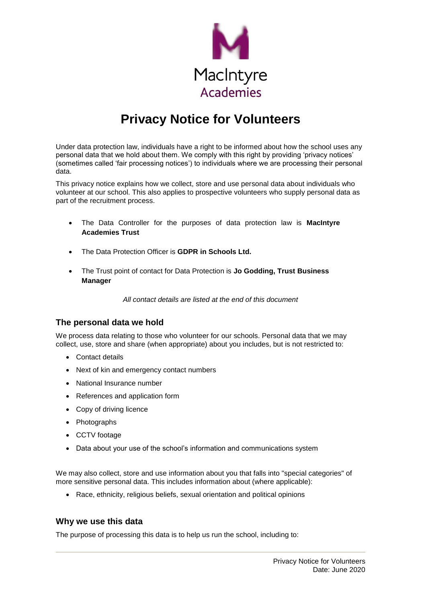

# **Privacy Notice for Volunteers**

Under data protection law, individuals have a right to be informed about how the school uses any personal data that we hold about them. We comply with this right by providing 'privacy notices' (sometimes called 'fair processing notices') to individuals where we are processing their personal data.

This privacy notice explains how we collect, store and use personal data about individuals who volunteer at our school. This also applies to prospective volunteers who supply personal data as part of the recruitment process.

- The Data Controller for the purposes of data protection law is **MacIntyre Academies Trust**
- The Data Protection Officer is **GDPR in Schools Ltd.**
- The Trust point of contact for Data Protection is **Jo Godding, Trust Business Manager**

*All contact details are listed at the end of this document*

## **The personal data we hold**

We process data relating to those who volunteer for our schools. Personal data that we may collect, use, store and share (when appropriate) about you includes, but is not restricted to:

- Contact details
- Next of kin and emergency contact numbers
- National Insurance number
- References and application form
- Copy of driving licence
- Photographs
- CCTV footage
- Data about your use of the school's information and communications system

We may also collect, store and use information about you that falls into "special categories" of more sensitive personal data. This includes information about (where applicable):

Race, ethnicity, religious beliefs, sexual orientation and political opinions

#### **Why we use this data**

The purpose of processing this data is to help us run the school, including to: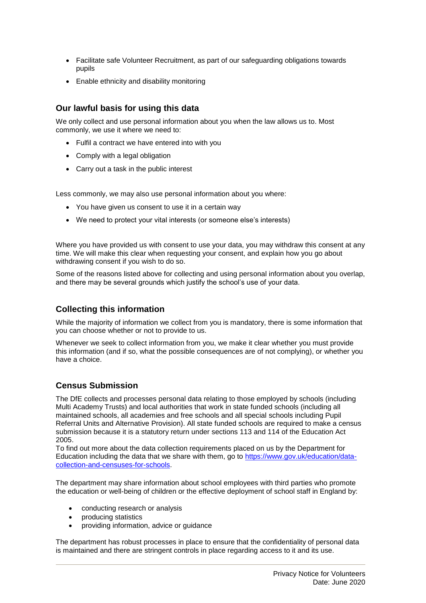- Facilitate safe Volunteer Recruitment, as part of our safeguarding obligations towards pupils
- Enable ethnicity and disability monitoring

## **Our lawful basis for using this data**

We only collect and use personal information about you when the law allows us to. Most commonly, we use it where we need to:

- Fulfil a contract we have entered into with you
- Comply with a legal obligation
- Carry out a task in the public interest

Less commonly, we may also use personal information about you where:

- You have given us consent to use it in a certain way
- We need to protect your vital interests (or someone else's interests)

Where you have provided us with consent to use your data, you may withdraw this consent at any time. We will make this clear when requesting your consent, and explain how you go about withdrawing consent if you wish to do so.

Some of the reasons listed above for collecting and using personal information about you overlap, and there may be several grounds which justify the school's use of your data.

# **Collecting this information**

While the majority of information we collect from you is mandatory, there is some information that you can choose whether or not to provide to us.

Whenever we seek to collect information from you, we make it clear whether you must provide this information (and if so, what the possible consequences are of not complying), or whether you have a choice.

# **Census Submission**

The DfE collects and processes personal data relating to those employed by schools (including Multi Academy Trusts) and local authorities that work in state funded schools (including all maintained schools, all academies and free schools and all special schools including Pupil Referral Units and Alternative Provision). All state funded schools are required to make a census submission because it is a statutory return under sections 113 and 114 of the Education Act 2005.

To find out more about the data collection requirements placed on us by the Department for Education including the data that we share with them, go to [https://www.gov.uk/education/data](https://www.gov.uk/education/data-collection-and-censuses-for-schools)[collection-and-censuses-for-schools.](https://www.gov.uk/education/data-collection-and-censuses-for-schools)

The department may share information about school employees with third parties who promote the education or well-being of children or the effective deployment of school staff in England by:

- conducting research or analysis
- producing statistics
- providing information, advice or guidance

The department has robust processes in place to ensure that the confidentiality of personal data is maintained and there are stringent controls in place regarding access to it and its use.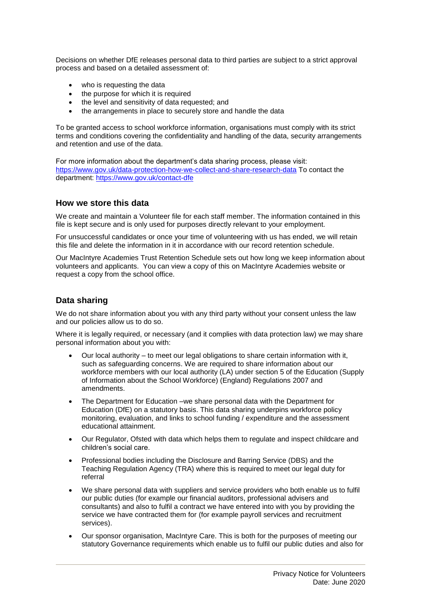Decisions on whether DfE releases personal data to third parties are subject to a strict approval process and based on a detailed assessment of:

- who is requesting the data
- the purpose for which it is required
- the level and sensitivity of data requested; and
- the arrangements in place to securely store and handle the data

To be granted access to school workforce information, organisations must comply with its strict terms and conditions covering the confidentiality and handling of the data, security arrangements and retention and use of the data.

For more information about the department's data sharing process, please visit: <https://www.gov.uk/data-protection-how-we-collect-and-share-research-data> To contact the department:<https://www.gov.uk/contact-dfe>

#### **How we store this data**

We create and maintain a Volunteer file for each staff member. The information contained in this file is kept secure and is only used for purposes directly relevant to your employment.

For unsuccessful candidates or once your time of volunteering with us has ended, we will retain this file and delete the information in it in accordance with our record retention schedule.

Our MacIntyre Academies Trust Retention Schedule sets out how long we keep information about volunteers and applicants. You can view a copy of this on MacIntyre Academies website or request a copy from the school office.

#### **Data sharing**

We do not share information about you with any third party without your consent unless the law and our policies allow us to do so.

Where it is legally required, or necessary (and it complies with data protection law) we may share personal information about you with:

- Our local authority to meet our legal obligations to share certain information with it, such as safeguarding concerns. We are required to share information about our workforce members with our local authority (LA) under section 5 of the Education (Supply of Information about the School Workforce) (England) Regulations 2007 and amendments.
- The Department for Education –we share personal data with the Department for Education (DfE) on a statutory basis. This data sharing underpins workforce policy monitoring, evaluation, and links to school funding / expenditure and the assessment educational attainment.
- Our Regulator, Ofsted with data which helps them to regulate and inspect childcare and children's social care.
- Professional bodies including the Disclosure and Barring Service (DBS) and the Teaching Regulation Agency (TRA) where this is required to meet our legal duty for referral
- We share personal data with suppliers and service providers who both enable us to fulfil our public duties (for example our financial auditors, professional advisers and consultants) and also to fulfil a contract we have entered into with you by providing the service we have contracted them for (for example payroll services and recruitment services).
- Our sponsor organisation, MacIntyre Care. This is both for the purposes of meeting our statutory Governance requirements which enable us to fulfil our public duties and also for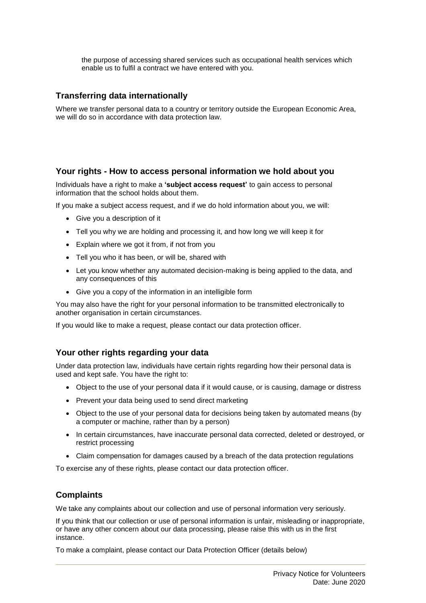the purpose of accessing shared services such as occupational health services which enable us to fulfil a contract we have entered with you.

## **Transferring data internationally**

Where we transfer personal data to a country or territory outside the European Economic Area, we will do so in accordance with data protection law.

#### **Your rights - How to access personal information we hold about you**

Individuals have a right to make a **'subject access request'** to gain access to personal information that the school holds about them.

If you make a subject access request, and if we do hold information about you, we will:

- Give you a description of it
- Tell you why we are holding and processing it, and how long we will keep it for
- Explain where we got it from, if not from you
- Tell you who it has been, or will be, shared with
- Let you know whether any automated decision-making is being applied to the data, and any consequences of this
- Give you a copy of the information in an intelligible form

You may also have the right for your personal information to be transmitted electronically to another organisation in certain circumstances.

If you would like to make a request, please contact our data protection officer.

## **Your other rights regarding your data**

Under data protection law, individuals have certain rights regarding how their personal data is used and kept safe. You have the right to:

- Object to the use of your personal data if it would cause, or is causing, damage or distress
- Prevent your data being used to send direct marketing
- Object to the use of your personal data for decisions being taken by automated means (by a computer or machine, rather than by a person)
- In certain circumstances, have inaccurate personal data corrected, deleted or destroyed, or restrict processing
- Claim compensation for damages caused by a breach of the data protection regulations

To exercise any of these rights, please contact our data protection officer.

## **Complaints**

We take any complaints about our collection and use of personal information very seriously.

If you think that our collection or use of personal information is unfair, misleading or inappropriate, or have any other concern about our data processing, please raise this with us in the first instance.

To make a complaint, please contact our Data Protection Officer (details below)